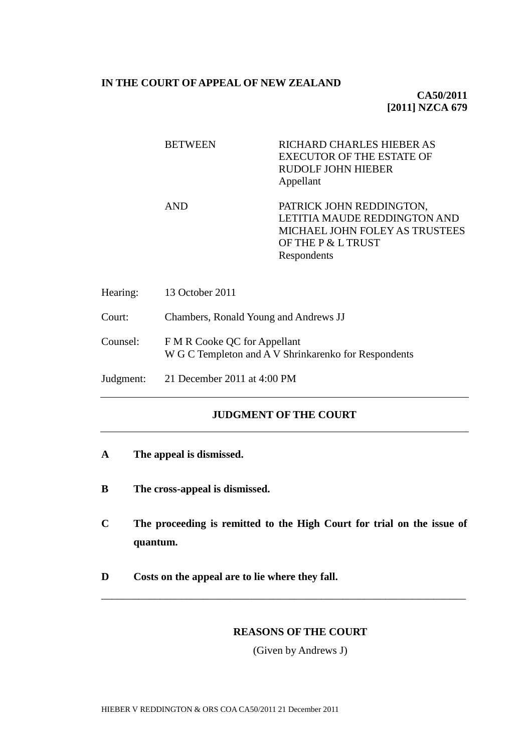#### **IN THE COURT OF APPEAL OF NEW ZEALAND**

## **CA50/2011 [2011] NZCA 679**

| <b>BETWEEN</b> | RICHARD CHARLES HIEBER AS<br><b>EXECUTOR OF THE ESTATE OF</b><br>RUDOLF JOHN HIEBER<br>Appellant                                |
|----------------|---------------------------------------------------------------------------------------------------------------------------------|
| AND            | PATRICK JOHN REDDINGTON,<br>LETITIA MAUDE REDDINGTON AND<br>MICHAEL JOHN FOLEY AS TRUSTEES<br>OF THE P & L TRUST<br>Respondents |

| Hearing:  | 13 October 2011                                                                      |
|-----------|--------------------------------------------------------------------------------------|
| Court:    | Chambers, Ronald Young and Andrews JJ                                                |
| Counsel:  | F M R Cooke QC for Appellant<br>W G C Templeton and A V Shrinkarenko for Respondents |
| Judgment: | 21 December 2011 at $4:00 \text{ PM}$                                                |

# **JUDGMENT OF THE COURT**

- **A The appeal is dismissed.**
- **B The cross-appeal is dismissed.**
- **C The proceeding is remitted to the High Court for trial on the issue of quantum.**

\_\_\_\_\_\_\_\_\_\_\_\_\_\_\_\_\_\_\_\_\_\_\_\_\_\_\_\_\_\_\_\_\_\_\_\_\_\_\_\_\_\_\_\_\_\_\_\_\_\_\_\_\_\_\_\_\_\_\_\_\_\_\_\_\_\_\_\_

**D Costs on the appeal are to lie where they fall.**

### **REASONS OF THE COURT**

(Given by Andrews J)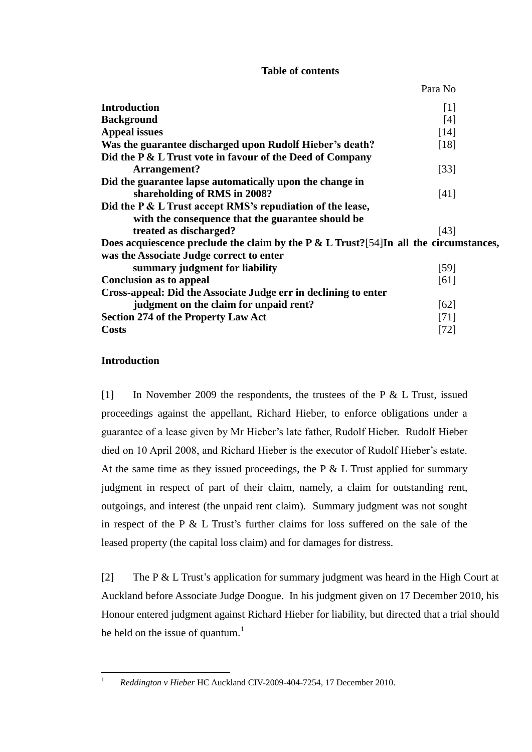# **Table of contents**

Para No

| <b>Introduction</b>                                                                     | $\lceil 1 \rceil$ |
|-----------------------------------------------------------------------------------------|-------------------|
| <b>Background</b>                                                                       | [4]               |
| <b>Appeal issues</b>                                                                    | [14]              |
| Was the guarantee discharged upon Rudolf Hieber's death?                                | [18]              |
| Did the P & L Trust vote in favour of the Deed of Company                               |                   |
| Arrangement?                                                                            | $\left[33\right]$ |
| Did the guarantee lapse automatically upon the change in                                |                   |
| shareholding of RMS in 2008?                                                            | [41]              |
| Did the P & L Trust accept RMS's repudiation of the lease,                              |                   |
| with the consequence that the guarantee should be                                       |                   |
| treated as discharged?                                                                  | [43]              |
| Does acquiescence preclude the claim by the $P < L$ Trust?[54]In all the circumstances, |                   |
| was the Associate Judge correct to enter                                                |                   |
| summary judgment for liability                                                          | $[59]$            |
| <b>Conclusion as to appeal</b>                                                          | [61]              |
| Cross-appeal: Did the Associate Judge err in declining to enter                         |                   |
| judgment on the claim for unpaid rent?                                                  | [62]              |
| <b>Section 274 of the Property Law Act</b>                                              | [71]              |
| <b>Costs</b>                                                                            | [72]              |

# **Introduction**

 $\bar{1}$ 

<span id="page-1-0"></span>[1] In November 2009 the respondents, the trustees of the P & L Trust, issued proceedings against the appellant, Richard Hieber, to enforce obligations under a guarantee of a lease given by Mr Hieber's late father, Rudolf Hieber. Rudolf Hieber died on 10 April 2008, and Richard Hieber is the executor of Rudolf Hieber's estate. At the same time as they issued proceedings, the  $P \& L$  Trust applied for summary judgment in respect of part of their claim, namely, a claim for outstanding rent, outgoings, and interest (the unpaid rent claim). Summary judgment was not sought in respect of the P & L Trust's further claims for loss suffered on the sale of the leased property (the capital loss claim) and for damages for distress.

[2] The P & L Trust's application for summary judgment was heard in the High Court at Auckland before Associate Judge Doogue. In his judgment given on 17 December 2010, his Honour entered judgment against Richard Hieber for liability, but directed that a trial should be held on the issue of quantum.<sup>1</sup>

<sup>1</sup> *Reddington v Hieber* HC Auckland CIV-2009-404-7254, 17 December 2010.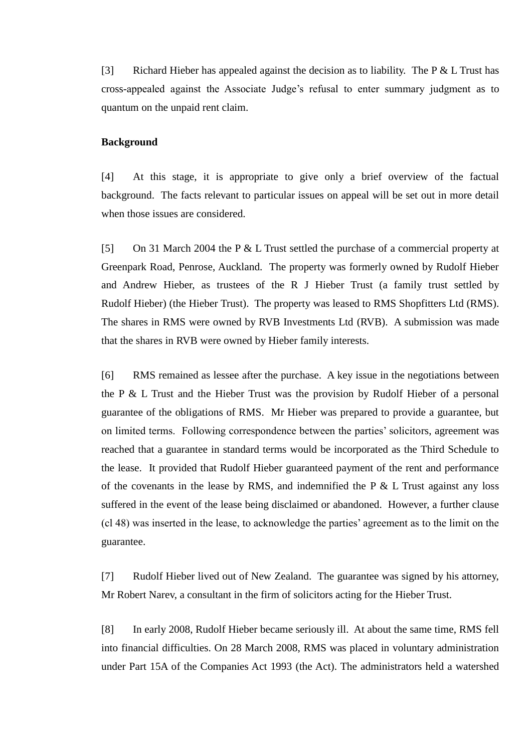[3] Richard Hieber has appealed against the decision as to liability. The P & L Trust has cross-appealed against the Associate Judge's refusal to enter summary judgment as to quantum on the unpaid rent claim.

#### <span id="page-2-0"></span>**Background**

[4] At this stage, it is appropriate to give only a brief overview of the factual background. The facts relevant to particular issues on appeal will be set out in more detail when those issues are considered.

[5] On 31 March 2004 the P & L Trust settled the purchase of a commercial property at Greenpark Road, Penrose, Auckland. The property was formerly owned by Rudolf Hieber and Andrew Hieber, as trustees of the R J Hieber Trust (a family trust settled by Rudolf Hieber) (the Hieber Trust). The property was leased to RMS Shopfitters Ltd (RMS). The shares in RMS were owned by RVB Investments Ltd (RVB). A submission was made that the shares in RVB were owned by Hieber family interests.

[6] RMS remained as lessee after the purchase. A key issue in the negotiations between the P & L Trust and the Hieber Trust was the provision by Rudolf Hieber of a personal guarantee of the obligations of RMS. Mr Hieber was prepared to provide a guarantee, but on limited terms. Following correspondence between the parties' solicitors, agreement was reached that a guarantee in standard terms would be incorporated as the Third Schedule to the lease. It provided that Rudolf Hieber guaranteed payment of the rent and performance of the covenants in the lease by RMS, and indemnified the  $P \& L$  Trust against any loss suffered in the event of the lease being disclaimed or abandoned. However, a further clause (cl 48) was inserted in the lease, to acknowledge the parties' agreement as to the limit on the guarantee.

[7] Rudolf Hieber lived out of New Zealand. The guarantee was signed by his attorney, Mr Robert Narev, a consultant in the firm of solicitors acting for the Hieber Trust.

[8] In early 2008, Rudolf Hieber became seriously ill. At about the same time, RMS fell into financial difficulties. On 28 March 2008, RMS was placed in voluntary administration under Part 15A of the Companies Act 1993 (the Act). The administrators held a watershed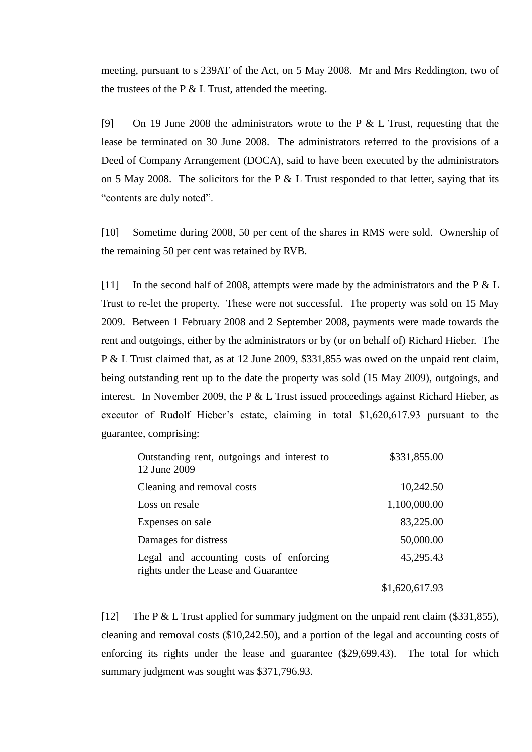meeting, pursuant to s 239AT of the Act, on 5 May 2008. Mr and Mrs Reddington, two of the trustees of the P  $&$  L Trust, attended the meeting.

[9] On 19 June 2008 the administrators wrote to the P & L Trust, requesting that the lease be terminated on 30 June 2008. The administrators referred to the provisions of a Deed of Company Arrangement (DOCA), said to have been executed by the administrators on 5 May 2008. The solicitors for the P  $&$  L Trust responded to that letter, saying that its "contents are duly noted".

[10] Sometime during 2008, 50 per cent of the shares in RMS were sold. Ownership of the remaining 50 per cent was retained by RVB.

[11] In the second half of 2008, attempts were made by the administrators and the P & L Trust to re-let the property. These were not successful. The property was sold on 15 May 2009. Between 1 February 2008 and 2 September 2008, payments were made towards the rent and outgoings, either by the administrators or by (or on behalf of) Richard Hieber. The P & L Trust claimed that, as at 12 June 2009, \$331,855 was owed on the unpaid rent claim, being outstanding rent up to the date the property was sold (15 May 2009), outgoings, and interest. In November 2009, the P  $&\&$  L Trust issued proceedings against Richard Hieber, as executor of Rudolf Hieber's estate, claiming in total \$1,620,617.93 pursuant to the guarantee, comprising:

| Outstanding rent, outgoings and interest to<br>12 June 2009                     | \$331,855.00   |
|---------------------------------------------------------------------------------|----------------|
| Cleaning and removal costs                                                      | 10,242.50      |
| Loss on resale                                                                  | 1,100,000.00   |
| Expenses on sale                                                                | 83,225.00      |
| Damages for distress                                                            | 50,000.00      |
| Legal and accounting costs of enforcing<br>rights under the Lease and Guarantee | 45,295.43      |
|                                                                                 | \$1,620,617.93 |

[12] The P & L Trust applied for summary judgment on the unpaid rent claim (\$331,855), cleaning and removal costs (\$10,242.50), and a portion of the legal and accounting costs of enforcing its rights under the lease and guarantee (\$29,699.43). The total for which summary judgment was sought was \$371,796.93.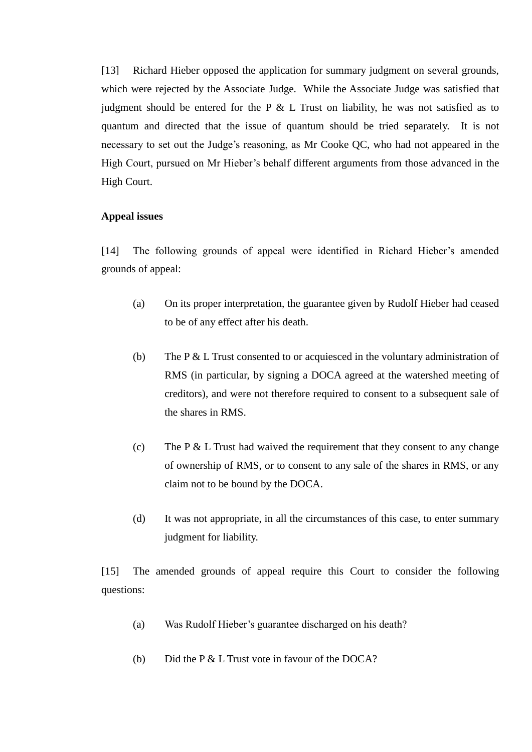[13] Richard Hieber opposed the application for summary judgment on several grounds, which were rejected by the Associate Judge. While the Associate Judge was satisfied that judgment should be entered for the P  $\&$  L Trust on liability, he was not satisfied as to quantum and directed that the issue of quantum should be tried separately. It is not necessary to set out the Judge's reasoning, as Mr Cooke QC, who had not appeared in the High Court, pursued on Mr Hieber's behalf different arguments from those advanced in the High Court.

#### <span id="page-4-0"></span>**Appeal issues**

[14] The following grounds of appeal were identified in Richard Hieber's amended grounds of appeal:

- (a) On its proper interpretation, the guarantee given by Rudolf Hieber had ceased to be of any effect after his death.
- (b) The P & L Trust consented to or acquiesced in the voluntary administration of RMS (in particular, by signing a DOCA agreed at the watershed meeting of creditors), and were not therefore required to consent to a subsequent sale of the shares in RMS.
- (c) The  $P \& L$  Trust had waived the requirement that they consent to any change of ownership of RMS, or to consent to any sale of the shares in RMS, or any claim not to be bound by the DOCA.
- (d) It was not appropriate, in all the circumstances of this case, to enter summary judgment for liability.

[15] The amended grounds of appeal require this Court to consider the following questions:

- (a) Was Rudolf Hieber's guarantee discharged on his death?
- (b) Did the P & L Trust vote in favour of the DOCA?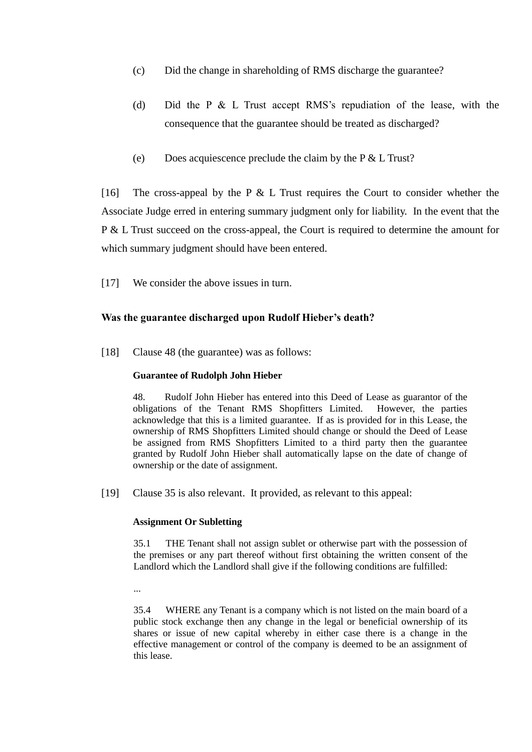- (c) Did the change in shareholding of RMS discharge the guarantee?
- (d) Did the P & L Trust accept RMS's repudiation of the lease, with the consequence that the guarantee should be treated as discharged?
- (e) Does acquiescence preclude the claim by the P & L Trust?

[16] The cross-appeal by the P  $&$  L Trust requires the Court to consider whether the Associate Judge erred in entering summary judgment only for liability. In the event that the P & L Trust succeed on the cross-appeal, the Court is required to determine the amount for which summary judgment should have been entered.

[17] We consider the above issues in turn.

# **Was the guarantee discharged upon Rudolf Hieber's death?**

<span id="page-5-0"></span>[18] Clause 48 (the guarantee) was as follows:

## **Guarantee of Rudolph John Hieber**

48. Rudolf John Hieber has entered into this Deed of Lease as guarantor of the obligations of the Tenant RMS Shopfitters Limited. However, the parties acknowledge that this is a limited guarantee. If as is provided for in this Lease, the ownership of RMS Shopfitters Limited should change or should the Deed of Lease be assigned from RMS Shopfitters Limited to a third party then the guarantee granted by Rudolf John Hieber shall automatically lapse on the date of change of ownership or the date of assignment.

[19] Clause 35 is also relevant. It provided, as relevant to this appeal:

#### **Assignment Or Subletting**

35.1 THE Tenant shall not assign sublet or otherwise part with the possession of the premises or any part thereof without first obtaining the written consent of the Landlord which the Landlord shall give if the following conditions are fulfilled:

...

35.4 WHERE any Tenant is a company which is not listed on the main board of a public stock exchange then any change in the legal or beneficial ownership of its shares or issue of new capital whereby in either case there is a change in the effective management or control of the company is deemed to be an assignment of this lease.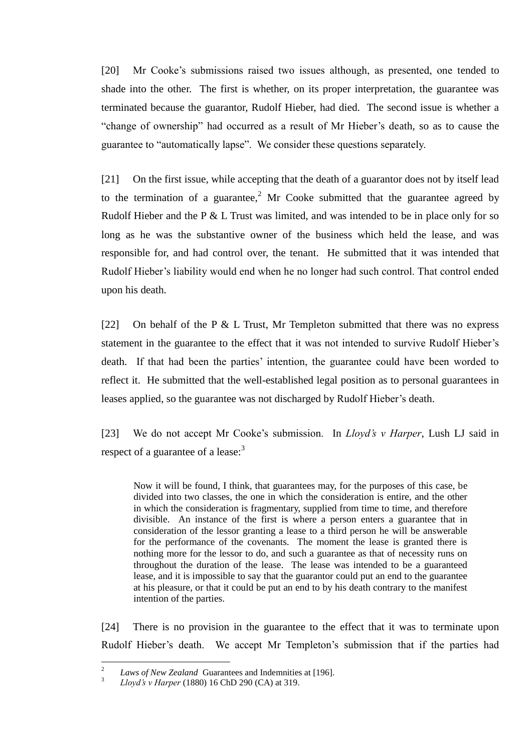[20] Mr Cooke's submissions raised two issues although, as presented, one tended to shade into the other. The first is whether, on its proper interpretation, the guarantee was terminated because the guarantor, Rudolf Hieber, had died. The second issue is whether a "change of ownership" had occurred as a result of Mr Hieber's death, so as to cause the guarantee to "automatically lapse". We consider these questions separately.

[21] On the first issue, while accepting that the death of a guarantor does not by itself lead to the termination of a guarantee,<sup>2</sup> Mr Cooke submitted that the guarantee agreed by Rudolf Hieber and the P & L Trust was limited, and was intended to be in place only for so long as he was the substantive owner of the business which held the lease, and was responsible for, and had control over, the tenant. He submitted that it was intended that Rudolf Hieber's liability would end when he no longer had such control. That control ended upon his death.

[22] On behalf of the P & L Trust, Mr Templeton submitted that there was no express statement in the guarantee to the effect that it was not intended to survive Rudolf Hieber's death. If that had been the parties' intention, the guarantee could have been worded to reflect it. He submitted that the well-established legal position as to personal guarantees in leases applied, so the guarantee was not discharged by Rudolf Hieber's death.

[23] We do not accept Mr Cooke's submission. In *Lloyd's v Harper*, Lush LJ said in respect of a guarantee of a lease:<sup>3</sup>

Now it will be found, I think, that guarantees may, for the purposes of this case, be divided into two classes, the one in which the consideration is entire, and the other in which the consideration is fragmentary, supplied from time to time, and therefore divisible. An instance of the first is where a person enters a guarantee that in consideration of the lessor granting a lease to a third person he will be answerable for the performance of the covenants. The moment the lease is granted there is nothing more for the lessor to do, and such a guarantee as that of necessity runs on throughout the duration of the lease. The lease was intended to be a guaranteed lease, and it is impossible to say that the guarantor could put an end to the guarantee at his pleasure, or that it could be put an end to by his death contrary to the manifest intention of the parties.

[24] There is no provision in the guarantee to the effect that it was to terminate upon Rudolf Hieber's death. We accept Mr Templeton's submission that if the parties had

 $\frac{1}{2}$ *Laws of New Zealand* Guarantees and Indemnities at [196].

<sup>3</sup> *Lloyd's v Harper* (1880) 16 ChD 290 (CA) at 319.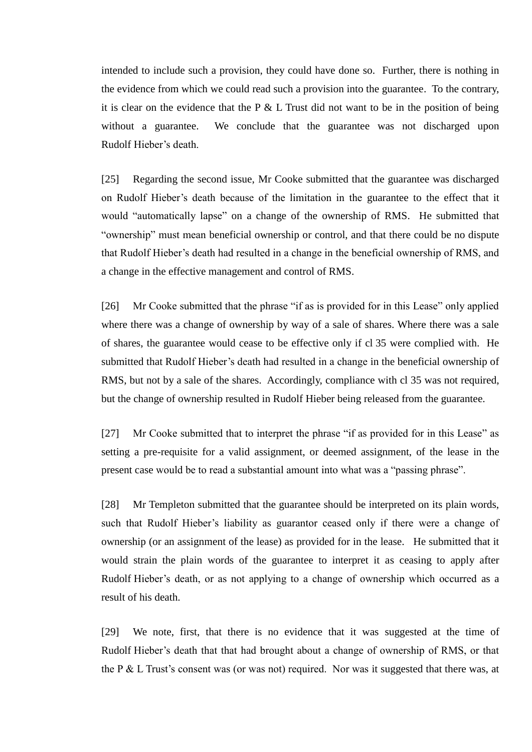intended to include such a provision, they could have done so. Further, there is nothing in the evidence from which we could read such a provision into the guarantee. To the contrary, it is clear on the evidence that the P  $&\&$  L Trust did not want to be in the position of being without a guarantee. We conclude that the guarantee was not discharged upon Rudolf Hieber's death.

[25] Regarding the second issue, Mr Cooke submitted that the guarantee was discharged on Rudolf Hieber's death because of the limitation in the guarantee to the effect that it would "automatically lapse" on a change of the ownership of RMS. He submitted that "ownership" must mean beneficial ownership or control, and that there could be no dispute that Rudolf Hieber's death had resulted in a change in the beneficial ownership of RMS, and a change in the effective management and control of RMS.

[26] Mr Cooke submitted that the phrase "if as is provided for in this Lease" only applied where there was a change of ownership by way of a sale of shares. Where there was a sale of shares, the guarantee would cease to be effective only if cl 35 were complied with. He submitted that Rudolf Hieber's death had resulted in a change in the beneficial ownership of RMS, but not by a sale of the shares. Accordingly, compliance with cl 35 was not required, but the change of ownership resulted in Rudolf Hieber being released from the guarantee.

[27] Mr Cooke submitted that to interpret the phrase "if as provided for in this Lease" as setting a pre-requisite for a valid assignment, or deemed assignment, of the lease in the present case would be to read a substantial amount into what was a "passing phrase".

[28] Mr Templeton submitted that the guarantee should be interpreted on its plain words, such that Rudolf Hieber's liability as guarantor ceased only if there were a change of ownership (or an assignment of the lease) as provided for in the lease. He submitted that it would strain the plain words of the guarantee to interpret it as ceasing to apply after Rudolf Hieber's death, or as not applying to a change of ownership which occurred as a result of his death.

[29] We note, first, that there is no evidence that it was suggested at the time of Rudolf Hieber's death that that had brought about a change of ownership of RMS, or that the P & L Trust's consent was (or was not) required. Nor was it suggested that there was, at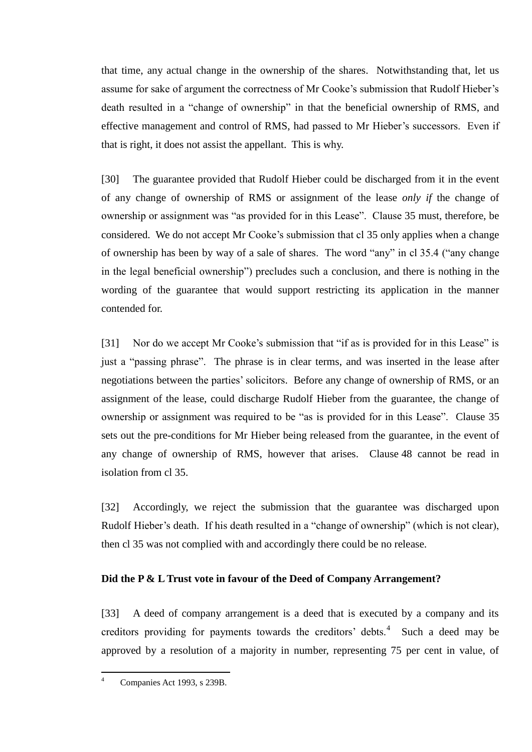that time, any actual change in the ownership of the shares. Notwithstanding that, let us assume for sake of argument the correctness of Mr Cooke's submission that Rudolf Hieber's death resulted in a "change of ownership" in that the beneficial ownership of RMS, and effective management and control of RMS, had passed to Mr Hieber's successors. Even if that is right, it does not assist the appellant. This is why.

[30] The guarantee provided that Rudolf Hieber could be discharged from it in the event of any change of ownership of RMS or assignment of the lease *only if* the change of ownership or assignment was "as provided for in this Lease". Clause 35 must, therefore, be considered. We do not accept Mr Cooke's submission that cl 35 only applies when a change of ownership has been by way of a sale of shares. The word "any" in cl 35.4 ("any change in the legal beneficial ownership") precludes such a conclusion, and there is nothing in the wording of the guarantee that would support restricting its application in the manner contended for.

[31] Nor do we accept Mr Cooke's submission that "if as is provided for in this Lease" is just a "passing phrase". The phrase is in clear terms, and was inserted in the lease after negotiations between the parties' solicitors. Before any change of ownership of RMS, or an assignment of the lease, could discharge Rudolf Hieber from the guarantee, the change of ownership or assignment was required to be "as is provided for in this Lease". Clause 35 sets out the pre-conditions for Mr Hieber being released from the guarantee, in the event of any change of ownership of RMS, however that arises. Clause 48 cannot be read in isolation from cl 35.

[32] Accordingly, we reject the submission that the guarantee was discharged upon Rudolf Hieber's death. If his death resulted in a "change of ownership" (which is not clear), then cl 35 was not complied with and accordingly there could be no release.

## <span id="page-8-0"></span>**Did the P & L Trust vote in favour of the Deed of Company Arrangement?**

[33] A deed of company arrangement is a deed that is executed by a company and its creditors providing for payments towards the creditors' debts. $4$  Such a deed may be approved by a resolution of a majority in number, representing 75 per cent in value, of

 $\overline{a}$ 

Companies Act 1993, s 239B.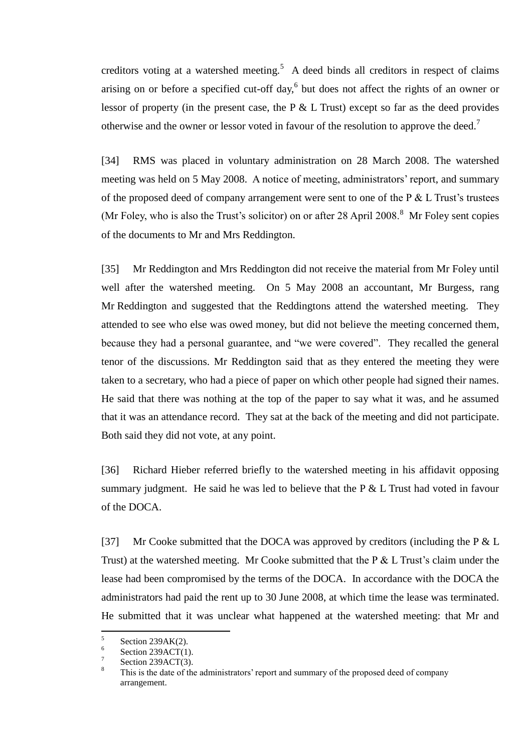creditors voting at a watershed meeting.<sup>5</sup> A deed binds all creditors in respect of claims arising on or before a specified cut-off day, $6$  but does not affect the rights of an owner or lessor of property (in the present case, the P & L Trust) except so far as the deed provides otherwise and the owner or lessor voted in favour of the resolution to approve the deed.<sup>7</sup>

[34] RMS was placed in voluntary administration on 28 March 2008. The watershed meeting was held on 5 May 2008. A notice of meeting, administrators' report, and summary of the proposed deed of company arrangement were sent to one of the  $P < L$  Trust's trustees (Mr Foley, who is also the Trust's solicitor) on or after  $28$  April  $2008$ .<sup>8</sup> Mr Foley sent copies of the documents to Mr and Mrs Reddington.

[35] Mr Reddington and Mrs Reddington did not receive the material from Mr Foley until well after the watershed meeting. On 5 May 2008 an accountant, Mr Burgess, rang Mr Reddington and suggested that the Reddingtons attend the watershed meeting. They attended to see who else was owed money, but did not believe the meeting concerned them, because they had a personal guarantee, and "we were covered". They recalled the general tenor of the discussions. Mr Reddington said that as they entered the meeting they were taken to a secretary, who had a piece of paper on which other people had signed their names. He said that there was nothing at the top of the paper to say what it was, and he assumed that it was an attendance record. They sat at the back of the meeting and did not participate. Both said they did not vote, at any point.

[36] Richard Hieber referred briefly to the watershed meeting in his affidavit opposing summary judgment. He said he was led to believe that the  $P \& L$  Trust had voted in favour of the DOCA.

[37] Mr Cooke submitted that the DOCA was approved by creditors (including the P & L Trust) at the watershed meeting. Mr Cooke submitted that the P & L Trust's claim under the lease had been compromised by the terms of the DOCA. In accordance with the DOCA the administrators had paid the rent up to 30 June 2008, at which time the lease was terminated. He submitted that it was unclear what happened at the watershed meeting: that Mr and

 $\frac{1}{5}$ Section 239AK(2).

<sup>6</sup> Section 239ACT(1).

<sup>7</sup> Section 239ACT(3).

This is the date of the administrators' report and summary of the proposed deed of company arrangement.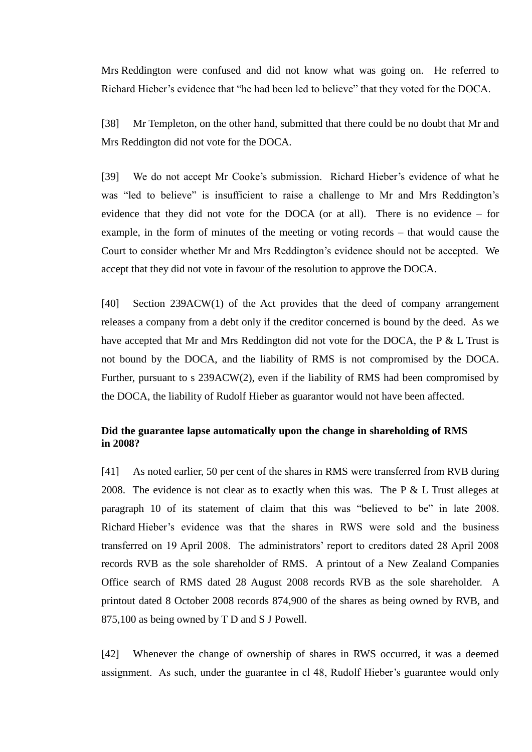Mrs Reddington were confused and did not know what was going on. He referred to Richard Hieber's evidence that "he had been led to believe" that they voted for the DOCA.

[38] Mr Templeton, on the other hand, submitted that there could be no doubt that Mr and Mrs Reddington did not vote for the DOCA.

[39] We do not accept Mr Cooke's submission. Richard Hieber's evidence of what he was "led to believe" is insufficient to raise a challenge to Mr and Mrs Reddington's evidence that they did not vote for the DOCA (or at all). There is no evidence – for example, in the form of minutes of the meeting or voting records – that would cause the Court to consider whether Mr and Mrs Reddington's evidence should not be accepted. We accept that they did not vote in favour of the resolution to approve the DOCA.

[40] Section 239ACW(1) of the Act provides that the deed of company arrangement releases a company from a debt only if the creditor concerned is bound by the deed. As we have accepted that Mr and Mrs Reddington did not vote for the DOCA, the P & L Trust is not bound by the DOCA, and the liability of RMS is not compromised by the DOCA. Further, pursuant to s 239ACW(2), even if the liability of RMS had been compromised by the DOCA, the liability of Rudolf Hieber as guarantor would not have been affected.

# **Did the guarantee lapse automatically upon the change in shareholding of RMS in 2008?**

<span id="page-10-0"></span>[41] As noted earlier, 50 per cent of the shares in RMS were transferred from RVB during 2008. The evidence is not clear as to exactly when this was. The  $P \& L$  Trust alleges at paragraph 10 of its statement of claim that this was "believed to be" in late 2008. Richard Hieber's evidence was that the shares in RWS were sold and the business transferred on 19 April 2008. The administrators' report to creditors dated 28 April 2008 records RVB as the sole shareholder of RMS. A printout of a New Zealand Companies Office search of RMS dated 28 August 2008 records RVB as the sole shareholder. A printout dated 8 October 2008 records 874,900 of the shares as being owned by RVB, and 875,100 as being owned by T D and S J Powell.

[42] Whenever the change of ownership of shares in RWS occurred, it was a deemed assignment. As such, under the guarantee in cl 48, Rudolf Hieber's guarantee would only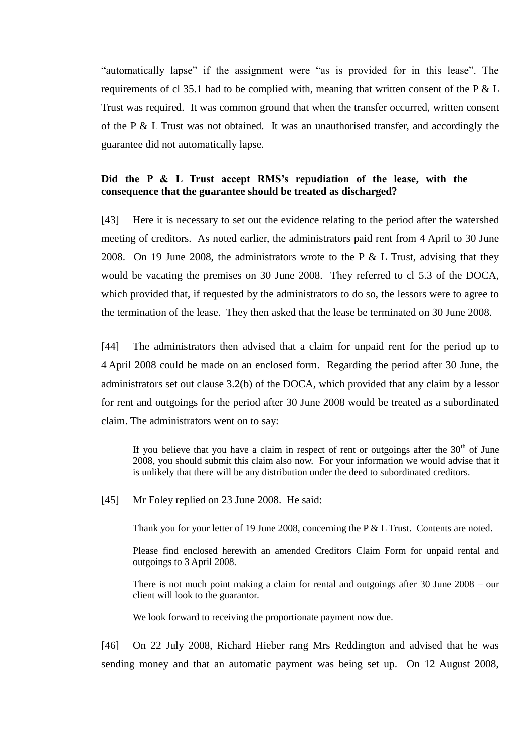"automatically lapse" if the assignment were "as is provided for in this lease". The requirements of cl 35.1 had to be complied with, meaning that written consent of the P  $&$  L Trust was required. It was common ground that when the transfer occurred, written consent of the P & L Trust was not obtained. It was an unauthorised transfer, and accordingly the guarantee did not automatically lapse.

## **Did the P & L Trust accept RMS's repudiation of the lease, with the consequence that the guarantee should be treated as discharged?**

<span id="page-11-0"></span>[43] Here it is necessary to set out the evidence relating to the period after the watershed meeting of creditors. As noted earlier, the administrators paid rent from 4 April to 30 June 2008. On 19 June 2008, the administrators wrote to the P  $&$  L Trust, advising that they would be vacating the premises on 30 June 2008. They referred to cl 5.3 of the DOCA, which provided that, if requested by the administrators to do so, the lessors were to agree to the termination of the lease. They then asked that the lease be terminated on 30 June 2008.

[44] The administrators then advised that a claim for unpaid rent for the period up to 4 April 2008 could be made on an enclosed form. Regarding the period after 30 June, the administrators set out clause 3.2(b) of the DOCA, which provided that any claim by a lessor for rent and outgoings for the period after 30 June 2008 would be treated as a subordinated claim. The administrators went on to say:

If you believe that you have a claim in respect of rent or outgoings after the  $30<sup>th</sup>$  of June 2008, you should submit this claim also now. For your information we would advise that it is unlikely that there will be any distribution under the deed to subordinated creditors.

[45] Mr Foley replied on 23 June 2008. He said:

Thank you for your letter of 19 June 2008, concerning the P & L Trust. Contents are noted.

Please find enclosed herewith an amended Creditors Claim Form for unpaid rental and outgoings to 3 April 2008.

There is not much point making a claim for rental and outgoings after 30 June 2008 – our client will look to the guarantor.

We look forward to receiving the proportionate payment now due.

[46] On 22 July 2008, Richard Hieber rang Mrs Reddington and advised that he was sending money and that an automatic payment was being set up. On 12 August 2008,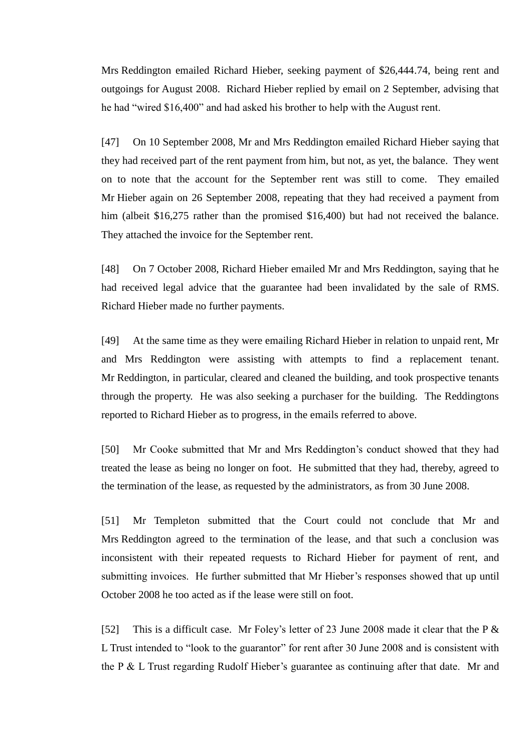Mrs Reddington emailed Richard Hieber, seeking payment of \$26,444.74, being rent and outgoings for August 2008. Richard Hieber replied by email on 2 September, advising that he had "wired \$16,400" and had asked his brother to help with the August rent.

[47] On 10 September 2008, Mr and Mrs Reddington emailed Richard Hieber saying that they had received part of the rent payment from him, but not, as yet, the balance. They went on to note that the account for the September rent was still to come. They emailed Mr Hieber again on 26 September 2008, repeating that they had received a payment from him (albeit \$16,275 rather than the promised \$16,400) but had not received the balance. They attached the invoice for the September rent.

[48] On 7 October 2008, Richard Hieber emailed Mr and Mrs Reddington, saying that he had received legal advice that the guarantee had been invalidated by the sale of RMS. Richard Hieber made no further payments.

[49] At the same time as they were emailing Richard Hieber in relation to unpaid rent, Mr and Mrs Reddington were assisting with attempts to find a replacement tenant. Mr Reddington, in particular, cleared and cleaned the building, and took prospective tenants through the property. He was also seeking a purchaser for the building. The Reddingtons reported to Richard Hieber as to progress, in the emails referred to above.

[50] Mr Cooke submitted that Mr and Mrs Reddington's conduct showed that they had treated the lease as being no longer on foot. He submitted that they had, thereby, agreed to the termination of the lease, as requested by the administrators, as from 30 June 2008.

[51] Mr Templeton submitted that the Court could not conclude that Mr and Mrs Reddington agreed to the termination of the lease, and that such a conclusion was inconsistent with their repeated requests to Richard Hieber for payment of rent, and submitting invoices. He further submitted that Mr Hieber's responses showed that up until October 2008 he too acted as if the lease were still on foot.

[52] This is a difficult case. Mr Foley's letter of 23 June 2008 made it clear that the P & L Trust intended to "look to the guarantor" for rent after 30 June 2008 and is consistent with the P & L Trust regarding Rudolf Hieber's guarantee as continuing after that date. Mr and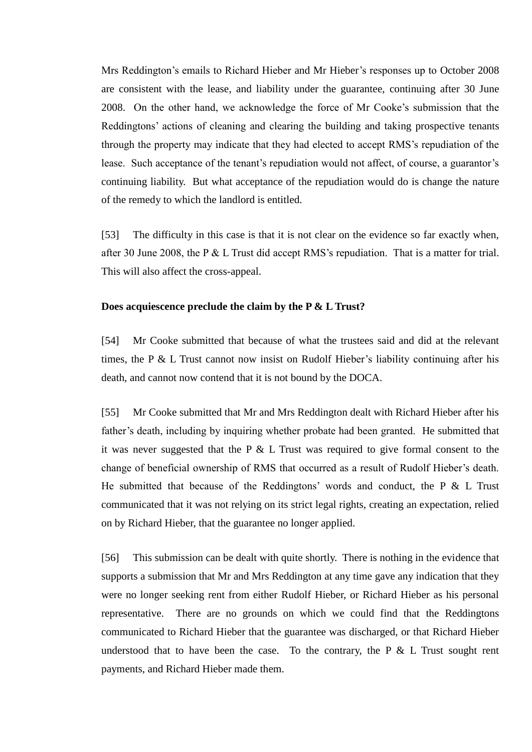Mrs Reddington's emails to Richard Hieber and Mr Hieber's responses up to October 2008 are consistent with the lease, and liability under the guarantee, continuing after 30 June 2008. On the other hand, we acknowledge the force of Mr Cooke's submission that the Reddingtons' actions of cleaning and clearing the building and taking prospective tenants through the property may indicate that they had elected to accept RMS's repudiation of the lease. Such acceptance of the tenant's repudiation would not affect, of course, a guarantor's continuing liability. But what acceptance of the repudiation would do is change the nature of the remedy to which the landlord is entitled.

[53] The difficulty in this case is that it is not clear on the evidence so far exactly when, after 30 June 2008, the P & L Trust did accept RMS's repudiation. That is a matter for trial. This will also affect the cross-appeal.

#### **Does acquiescence preclude the claim by the P & L Trust?**

[54] Mr Cooke submitted that because of what the trustees said and did at the relevant times, the P & L Trust cannot now insist on Rudolf Hieber's liability continuing after his death, and cannot now contend that it is not bound by the DOCA.

[55] Mr Cooke submitted that Mr and Mrs Reddington dealt with Richard Hieber after his father's death, including by inquiring whether probate had been granted. He submitted that it was never suggested that the P  $&$  L Trust was required to give formal consent to the change of beneficial ownership of RMS that occurred as a result of Rudolf Hieber's death. He submitted that because of the Reddingtons' words and conduct, the P  $&$  L Trust communicated that it was not relying on its strict legal rights, creating an expectation, relied on by Richard Hieber, that the guarantee no longer applied.

[56] This submission can be dealt with quite shortly. There is nothing in the evidence that supports a submission that Mr and Mrs Reddington at any time gave any indication that they were no longer seeking rent from either Rudolf Hieber, or Richard Hieber as his personal representative. There are no grounds on which we could find that the Reddingtons communicated to Richard Hieber that the guarantee was discharged, or that Richard Hieber understood that to have been the case. To the contrary, the P  $&$  L Trust sought rent payments, and Richard Hieber made them.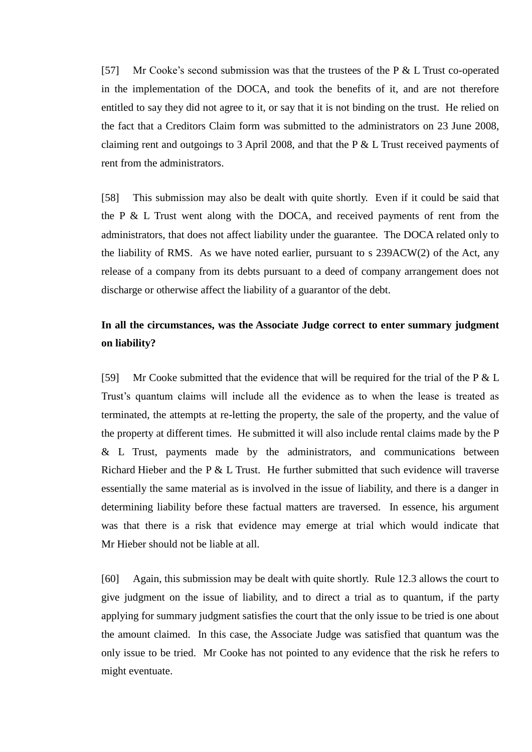[57] Mr Cooke's second submission was that the trustees of the P & L Trust co-operated in the implementation of the DOCA, and took the benefits of it, and are not therefore entitled to say they did not agree to it, or say that it is not binding on the trust. He relied on the fact that a Creditors Claim form was submitted to the administrators on 23 June 2008, claiming rent and outgoings to 3 April 2008, and that the P & L Trust received payments of rent from the administrators.

[58] This submission may also be dealt with quite shortly. Even if it could be said that the P & L Trust went along with the DOCA, and received payments of rent from the administrators, that does not affect liability under the guarantee. The DOCA related only to the liability of RMS. As we have noted earlier, pursuant to  $s$  239ACW(2) of the Act, any release of a company from its debts pursuant to a deed of company arrangement does not discharge or otherwise affect the liability of a guarantor of the debt.

# **In all the circumstances, was the Associate Judge correct to enter summary judgment on liability?**

[59] Mr Cooke submitted that the evidence that will be required for the trial of the P & L Trust's quantum claims will include all the evidence as to when the lease is treated as terminated, the attempts at re-letting the property, the sale of the property, and the value of the property at different times. He submitted it will also include rental claims made by the P & L Trust, payments made by the administrators, and communications between Richard Hieber and the P & L Trust. He further submitted that such evidence will traverse essentially the same material as is involved in the issue of liability, and there is a danger in determining liability before these factual matters are traversed. In essence, his argument was that there is a risk that evidence may emerge at trial which would indicate that Mr Hieber should not be liable at all.

[60] Again, this submission may be dealt with quite shortly. Rule 12.3 allows the court to give judgment on the issue of liability, and to direct a trial as to quantum, if the party applying for summary judgment satisfies the court that the only issue to be tried is one about the amount claimed. In this case, the Associate Judge was satisfied that quantum was the only issue to be tried. Mr Cooke has not pointed to any evidence that the risk he refers to might eventuate.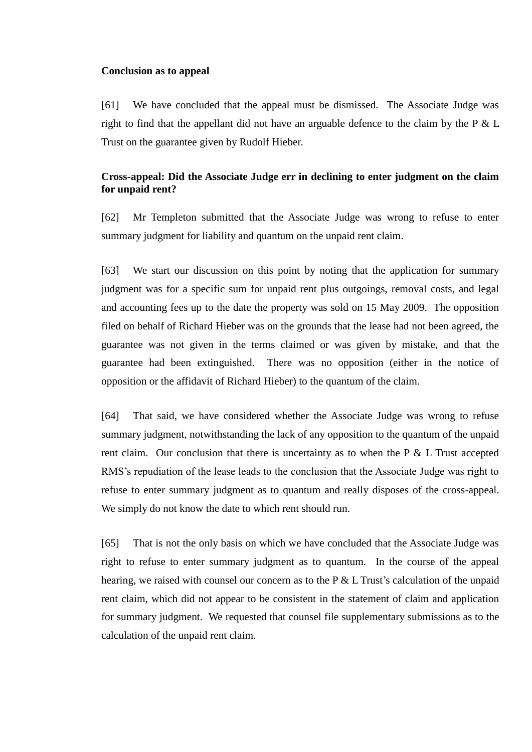#### <span id="page-15-0"></span>**Conclusion as to appeal**

[61] We have concluded that the appeal must be dismissed. The Associate Judge was right to find that the appellant did not have an arguable defence to the claim by the  $P \& L$ Trust on the guarantee given by Rudolf Hieber.

# **Cross-appeal: Did the Associate Judge err in declining to enter judgment on the claim for unpaid rent?**

<span id="page-15-1"></span>[62] Mr Templeton submitted that the Associate Judge was wrong to refuse to enter summary judgment for liability and quantum on the unpaid rent claim.

[63] We start our discussion on this point by noting that the application for summary judgment was for a specific sum for unpaid rent plus outgoings, removal costs, and legal and accounting fees up to the date the property was sold on 15 May 2009. The opposition filed on behalf of Richard Hieber was on the grounds that the lease had not been agreed, the guarantee was not given in the terms claimed or was given by mistake, and that the guarantee had been extinguished. There was no opposition (either in the notice of opposition or the affidavit of Richard Hieber) to the quantum of the claim.

[64] That said, we have considered whether the Associate Judge was wrong to refuse summary judgment, notwithstanding the lack of any opposition to the quantum of the unpaid rent claim. Our conclusion that there is uncertainty as to when the  $P \& L$  Trust accepted RMS's repudiation of the lease leads to the conclusion that the Associate Judge was right to refuse to enter summary judgment as to quantum and really disposes of the cross-appeal. We simply do not know the date to which rent should run.

[65] That is not the only basis on which we have concluded that the Associate Judge was right to refuse to enter summary judgment as to quantum. In the course of the appeal hearing, we raised with counsel our concern as to the P & L Trust's calculation of the unpaid rent claim, which did not appear to be consistent in the statement of claim and application for summary judgment. We requested that counsel file supplementary submissions as to the calculation of the unpaid rent claim.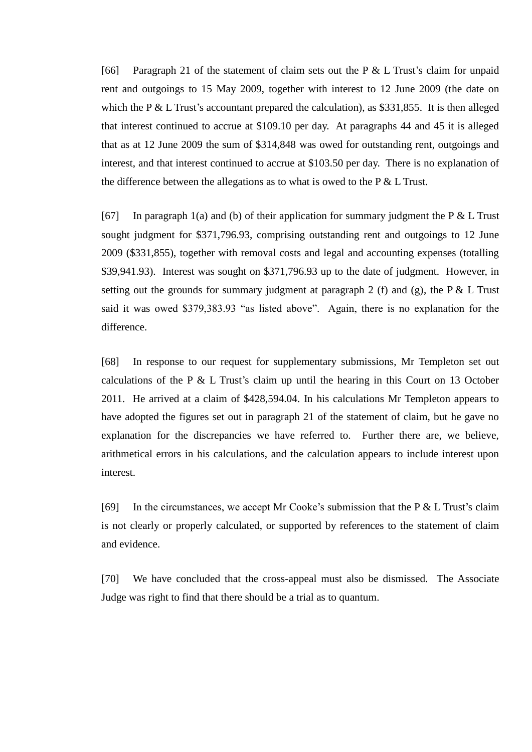[66] Paragraph 21 of the statement of claim sets out the P & L Trust's claim for unpaid rent and outgoings to 15 May 2009, together with interest to 12 June 2009 (the date on which the P  $& \& L$  Trust's accountant prepared the calculation), as \$331,855. It is then alleged that interest continued to accrue at \$109.10 per day. At paragraphs 44 and 45 it is alleged that as at 12 June 2009 the sum of \$314,848 was owed for outstanding rent, outgoings and interest, and that interest continued to accrue at \$103.50 per day. There is no explanation of the difference between the allegations as to what is owed to the  $P \& L$  Trust.

[67] In paragraph 1(a) and (b) of their application for summary judgment the P  $&$  L Trust sought judgment for \$371,796.93, comprising outstanding rent and outgoings to 12 June 2009 (\$331,855), together with removal costs and legal and accounting expenses (totalling \$39,941.93). Interest was sought on \$371,796.93 up to the date of judgment. However, in setting out the grounds for summary judgment at paragraph 2 (f) and (g), the P & L Trust said it was owed \$379,383.93 "as listed above". Again, there is no explanation for the difference.

[68] In response to our request for supplementary submissions, Mr Templeton set out calculations of the P  $&$  L Trust's claim up until the hearing in this Court on 13 October 2011. He arrived at a claim of \$428,594.04. In his calculations Mr Templeton appears to have adopted the figures set out in paragraph 21 of the statement of claim, but he gave no explanation for the discrepancies we have referred to. Further there are, we believe, arithmetical errors in his calculations, and the calculation appears to include interest upon interest.

[69] In the circumstances, we accept Mr Cooke's submission that the P & L Trust's claim is not clearly or properly calculated, or supported by references to the statement of claim and evidence.

[70] We have concluded that the cross-appeal must also be dismissed. The Associate Judge was right to find that there should be a trial as to quantum.